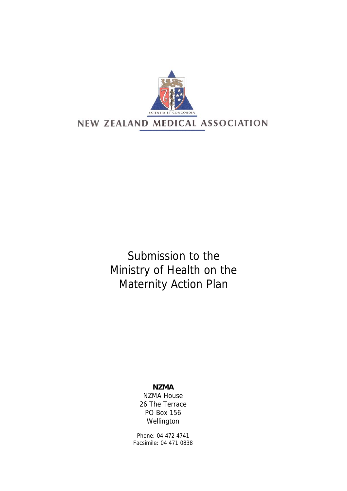

 Submission to the Ministry of Health on the Maternity Action Plan

> **NZMA**  NZMA House 26 The Terrace PO Box 156 Wellington

Phone: 04 472 4741 Facsimile: 04 471 0838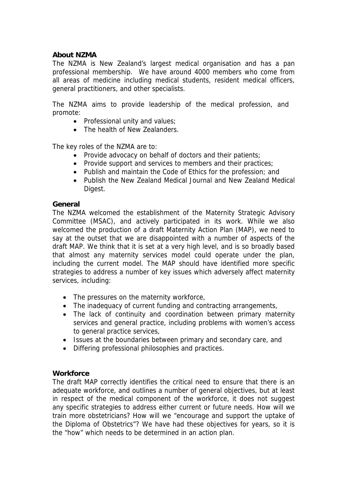## **About NZMA**

The NZMA is New Zealand's largest medical organisation and has a pan professional membership. We have around 4000 members who come from all areas of medicine including medical students, resident medical officers, general practitioners, and other specialists.

The NZMA aims to provide leadership of the medical profession, and promote:

- Professional unity and values;
- The health of New Zealanders.

The key roles of the NZMA are to:

- Provide advocacy on behalf of doctors and their patients;
- Provide support and services to members and their practices;
- Publish and maintain the Code of Ethics for the profession; and
- Publish the New Zealand Medical Journal and New Zealand Medical Digest.

### **General**

The NZMA welcomed the establishment of the Maternity Strategic Advisory Committee (MSAC), and actively participated in its work. While we also welcomed the production of a draft Maternity Action Plan (MAP), we need to say at the outset that we are disappointed with a number of aspects of the draft MAP. We think that it is set at a very high level, and is so broadly based that almost any maternity services model could operate under the plan, including the current model. The MAP should have identified more specific strategies to address a number of key issues which adversely affect maternity services, including:

- The pressures on the maternity workforce,
- The inadequacy of current funding and contracting arrangements,
- The lack of continuity and coordination between primary maternity services and general practice, including problems with women's access to general practice services,
- Issues at the boundaries between primary and secondary care, and
- Differing professional philosophies and practices.

### **Workforce**

The draft MAP correctly identifies the critical need to ensure that there is an adequate workforce, and outlines a number of general objectives, but at least in respect of the medical component of the workforce, it does not suggest any specific strategies to address either current or future needs. How will we train more obstetricians? How will we "encourage and support the uptake of the Diploma of Obstetrics"? We have had these objectives for years, so it is the "how" which needs to be determined in an action plan.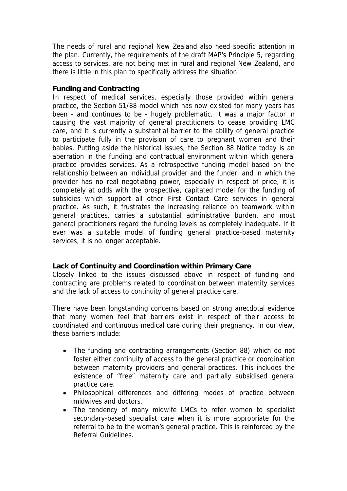The needs of rural and regional New Zealand also need specific attention in the plan. Currently, the requirements of the draft MAP's Principle 5, regarding access to services, are not being met in rural and regional New Zealand, and there is little in this plan to specifically address the situation.

### **Funding and Contracting**

In respect of medical services, especially those provided within general practice, the Section 51/88 model which has now existed for many years has been - and continues to be - hugely problematic. It was a major factor in causing the vast majority of general practitioners to cease providing LMC care, and it is currently a substantial barrier to the ability of general practice to participate fully in the provision of care to pregnant women and their babies. Putting aside the historical issues, the Section 88 Notice today is an aberration in the funding and contractual environment within which general practice provides services. As a retrospective funding model based on the relationship between an individual provider and the funder, and in which the provider has no real negotiating power, especially in respect of price, it is completely at odds with the prospective, capitated model for the funding of subsidies which support all other First Contact Care services in general practice. As such, it frustrates the increasing reliance on teamwork within general practices, carries a substantial administrative burden, and most general practitioners regard the funding levels as completely inadequate. If it ever was a suitable model of funding general practice-based maternity services, it is no longer acceptable.

# **Lack of Continuity and Coordination within Primary Care**

Closely linked to the issues discussed above in respect of funding and contracting are problems related to coordination between maternity services and the lack of access to continuity of general practice care.

There have been longstanding concerns based on strong anecdotal evidence that many women feel that barriers exist in respect of their access to coordinated and continuous medical care during their pregnancy. In our view, these barriers include:

- The funding and contracting arrangements (Section 88) which do not foster either continuity of access to the general practice or coordination between maternity providers and general practices. This includes the existence of "free" maternity care and partially subsidised general practice care.
- Philosophical differences and differing modes of practice between midwives and doctors.
- The tendency of many midwife LMCs to refer women to specialist secondary-based specialist care when it is more appropriate for the referral to be to the woman's general practice. This is reinforced by the Referral Guidelines.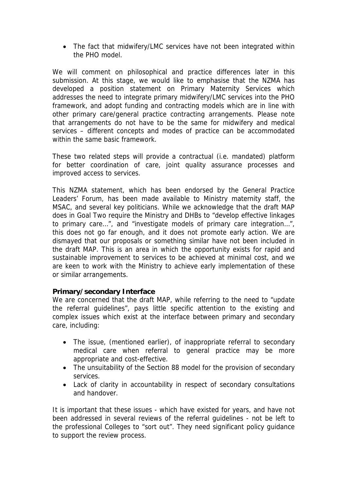• The fact that midwifery/LMC services have not been integrated within the PHO model.

We will comment on philosophical and practice differences later in this submission. At this stage, we would like to emphasise that the NZMA has developed a position statement on Primary Maternity Services which addresses the need to integrate primary midwifery/LMC services into the PHO framework, and adopt funding and contracting models which are in line with other primary care/general practice contracting arrangements. Please note that arrangements do not have to be the same for midwifery and medical services – different concepts and modes of practice can be accommodated within the same basic framework.

These two related steps will provide a contractual (i.e. mandated) platform for better coordination of care, joint quality assurance processes and improved access to services.

This NZMA statement, which has been endorsed by the General Practice Leaders' Forum, has been made available to Ministry maternity staff, the MSAC, and several key politicians. While we acknowledge that the draft MAP does in Goal Two require the Ministry and DHBs to "develop effective linkages to primary care…", and "investigate models of primary care integration…", this does not go far enough, and it does not promote early action. We are dismayed that our proposals or something similar have not been included in the draft MAP. This is an area in which the opportunity exists for rapid and sustainable improvement to services to be achieved at minimal cost, and we are keen to work with the Ministry to achieve early implementation of these or similar arrangements.

# **Primary/secondary Interface**

We are concerned that the draft MAP, while referring to the need to "update the referral guidelines", pays little specific attention to the existing and complex issues which exist at the interface between primary and secondary care, including:

- The issue, (mentioned earlier), of inappropriate referral to secondary medical care when referral to general practice may be more appropriate and cost-effective.
- The unsuitability of the Section 88 model for the provision of secondary services.
- Lack of clarity in accountability in respect of secondary consultations and handover.

It is important that these issues - which have existed for years, and have not been addressed in several reviews of the referral guidelines - not be left to the professional Colleges to "sort out". They need significant policy guidance to support the review process.